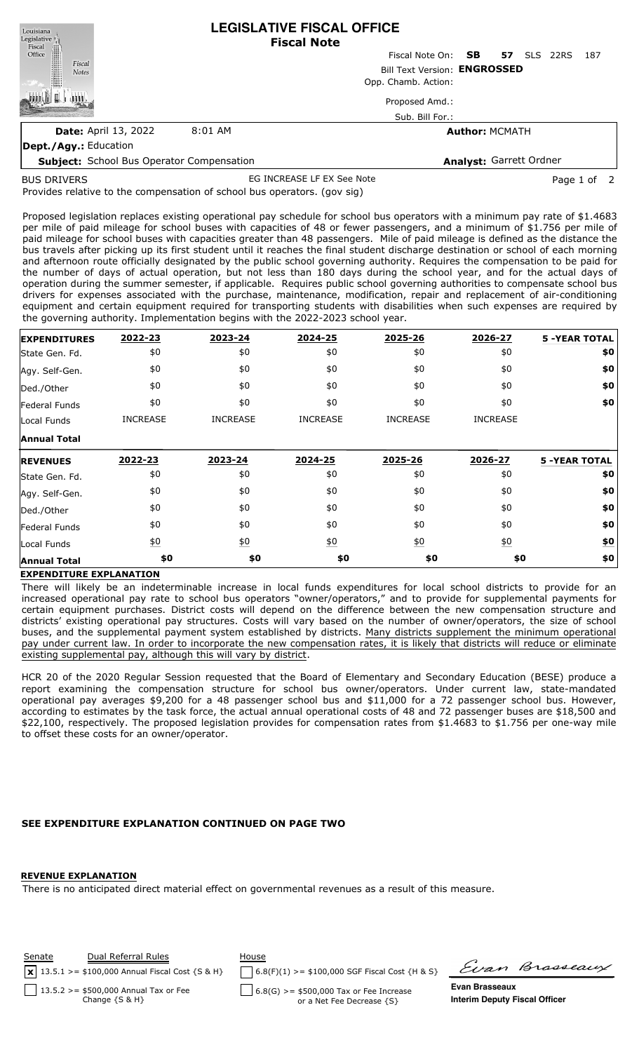| Louisiana<br>Legislative                         | <b>LEGISLATIVE FISCAL OFFICE</b><br><b>Fiscal Note</b> |                           |                       |                    |     |  |  |  |  |
|--------------------------------------------------|--------------------------------------------------------|---------------------------|-----------------------|--------------------|-----|--|--|--|--|
| Fiscal<br>Fiscal<br>Office                       |                                                        | Fiscal Note On: <b>SB</b> | 57                    | <b>SLS</b><br>22RS | 187 |  |  |  |  |
| Fiscal<br><b>Notes</b>                           | Bill Text Version: ENGROSSED                           |                           |                       |                    |     |  |  |  |  |
|                                                  | Opp. Chamb. Action:                                    |                           |                       |                    |     |  |  |  |  |
|                                                  |                                                        | Proposed Amd.:            |                       |                    |     |  |  |  |  |
|                                                  |                                                        | Sub. Bill For.:           |                       |                    |     |  |  |  |  |
| <b>Date: April 13, 2022</b>                      | 8:01 AM                                                |                           | <b>Author: MCMATH</b> |                    |     |  |  |  |  |
| <b>Dept./Agy.: Education</b>                     |                                                        |                           |                       |                    |     |  |  |  |  |
| <b>Subject:</b> School Bus Operator Compensation |                                                        | Analyst: Garrett Ordner   |                       |                    |     |  |  |  |  |

BUS DRIVERS

EG INCREASE LF EX See Note **Page 1 of 2** 

Provides relative to the compensation of school bus operators. (gov sig)

Proposed legislation replaces existing operational pay schedule for school bus operators with a minimum pay rate of \$1.4683 per mile of paid mileage for school buses with capacities of 48 or fewer passengers, and a minimum of \$1.756 per mile of paid mileage for school buses with capacities greater than 48 passengers. Mile of paid mileage is defined as the distance the bus travels after picking up its first student until it reaches the final student discharge destination or school of each morning and afternoon route officially designated by the public school governing authority. Requires the compensation to be paid for the number of days of actual operation, but not less than 180 days during the school year, and for the actual days of operation during the summer semester, if applicable. Requires public school governing authorities to compensate school bus drivers for expenses associated with the purchase, maintenance, modification, repair and replacement of air-conditioning equipment and certain equipment required for transporting students with disabilities when such expenses are required by the governing authority. Implementation begins with the 2022-2023 school year.

| <b>EXPENDITURES</b>                            | 2022-23          | 2023-24          | 2024-25          | 2025-26          | 2026-27          | <b>5 -YEAR TOTAL</b> |
|------------------------------------------------|------------------|------------------|------------------|------------------|------------------|----------------------|
| State Gen. Fd.                                 | \$0              | \$0              | \$0              | \$0              | \$0              | \$0                  |
| Agy. Self-Gen.                                 | \$0              | \$0              | \$0              | \$0              | \$0              | \$0                  |
| Ded./Other                                     | \$0              | \$0              | \$0              | \$0              | \$0              | \$0                  |
| <b>Federal Funds</b>                           | \$0              | \$0              | \$0              | \$0              | \$0              | \$0                  |
| Local Funds                                    | <b>INCREASE</b>  | <b>INCREASE</b>  | <b>INCREASE</b>  | <b>INCREASE</b>  | <b>INCREASE</b>  |                      |
| <b>Annual Total</b>                            |                  |                  |                  |                  |                  |                      |
| <b>REVENUES</b>                                | 2022-23          | 2023-24          | 2024-25          | 2025-26          | 2026-27          | <b>5 -YEAR TOTAL</b> |
|                                                |                  |                  |                  |                  |                  |                      |
|                                                | \$0              | \$0              | \$0              | \$0              | \$0              | \$0                  |
|                                                | \$0              | \$0              | \$0              | \$0              | \$0              | \$0                  |
| State Gen. Fd.<br>Agy. Self-Gen.<br>Ded./Other | \$0              | \$0              | \$0              | \$0              | \$0              | \$0                  |
| Federal Funds                                  | \$0              | \$0              | \$0              | \$0              | \$0              | \$0                  |
| Local Funds                                    | $\underline{50}$ | $\underline{40}$ | $\underline{50}$ | $\underline{50}$ | $\underline{50}$ | \$0                  |

## **EXPENDITURE EXPLANATION**

There will likely be an indeterminable increase in local funds expenditures for local school districts to provide for an increased operational pay rate to school bus operators "owner/operators," and to provide for supplemental payments for certain equipment purchases. District costs will depend on the difference between the new compensation structure and districts' existing operational pay structures. Costs will vary based on the number of owner/operators, the size of school buses, and the supplemental payment system established by districts. Many districts supplement the minimum operational pay under current law. In order to incorporate the new compensation rates, it is likely that districts will reduce or eliminate existing supplemental pay, although this will vary by district.

HCR 20 of the 2020 Regular Session requested that the Board of Elementary and Secondary Education (BESE) produce a report examining the compensation structure for school bus owner/operators. Under current law, state-mandated operational pay averages \$9,200 for a 48 passenger school bus and \$11,000 for a 72 passenger school bus. However, according to estimates by the task force, the actual annual operational costs of 48 and 72 passenger buses are \$18,500 and \$22,100, respectively. The proposed legislation provides for compensation rates from \$1.4683 to \$1.756 per one-way mile to offset these costs for an owner/operator.

## **SEE EXPENDITURE EXPLANATION CONTINUED ON PAGE TWO**

## **REVENUE EXPLANATION**

There is no anticipated direct material effect on governmental revenues as a result of this measure.